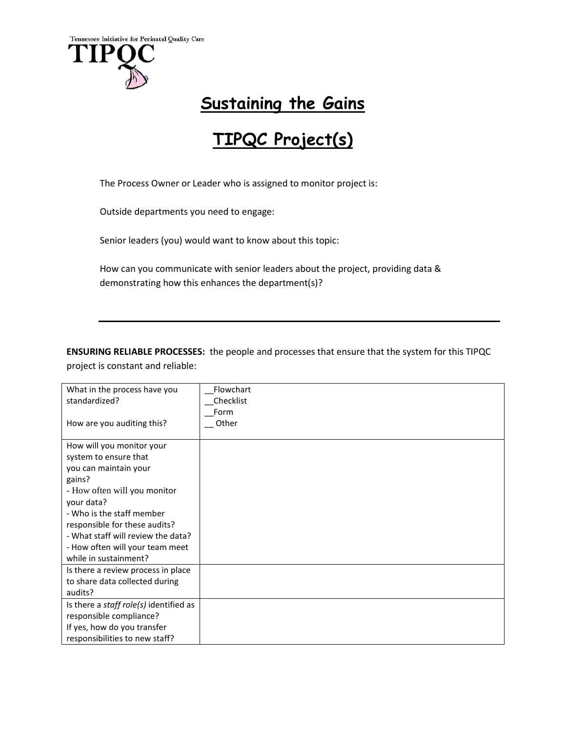

## **Sustaining the Gains**

## **TIPQC Project(s)**

The Process Owner or Leader who is assigned to monitor project is:

Outside departments you need to engage:

Senior leaders (you) would want to know about this topic:

How can you communicate with senior leaders about the project, providing data & demonstrating how this enhances the department(s)?

**ENSURING RELIABLE PROCESSES:** the people and processes that ensure that the system for this TIPQC project is constant and reliable:

| What in the process have you                  | Flowchart |
|-----------------------------------------------|-----------|
| standardized?                                 | Checklist |
|                                               | Form      |
| How are you auditing this?                    | Other     |
|                                               |           |
| How will you monitor your                     |           |
| system to ensure that                         |           |
| you can maintain your                         |           |
| gains?                                        |           |
| - How often will you monitor                  |           |
| your data?                                    |           |
| - Who is the staff member                     |           |
| responsible for these audits?                 |           |
| - What staff will review the data?            |           |
| - How often will your team meet               |           |
| while in sustainment?                         |           |
| Is there a review process in place            |           |
| to share data collected during                |           |
| audits?                                       |           |
| Is there a <i>staff role(s)</i> identified as |           |
| responsible compliance?                       |           |
| If yes, how do you transfer                   |           |
| responsibilities to new staff?                |           |